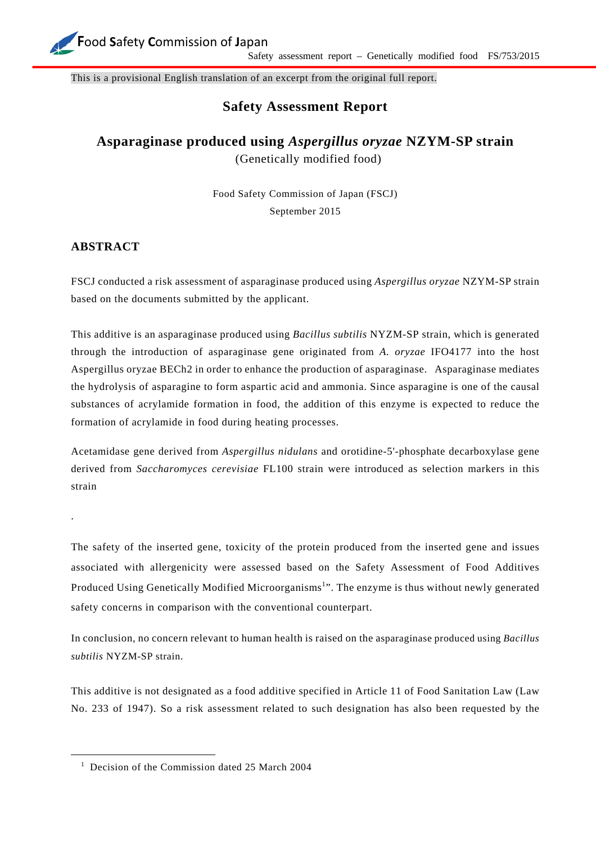

This is a provisional English translation of an excerpt from the original full report.

## **Safety Assessment Report**

## **Asparaginase produced using** *Aspergillus oryzae* **NZYM-SP strain**  (Genetically modified food)

Food Safety Commission of Japan (FSCJ) September 2015

## **ABSTRACT**

.

FSCJ conducted a risk assessment of asparaginase produced using *Aspergillus oryzae* NZYM-SP strain based on the documents submitted by the applicant.

This additive is an asparaginase produced using *Bacillus subtilis* NYZM-SP strain, which is generated through the introduction of asparaginase gene originated from *A. oryzae* IFO4177 into the host Aspergillus oryzae BECh2 in order to enhance the production of asparaginase. Asparaginase mediates the hydrolysis of asparagine to form aspartic acid and ammonia. Since asparagine is one of the causal substances of acrylamide formation in food, the addition of this enzyme is expected to reduce the formation of acrylamide in food during heating processes.

Acetamidase gene derived from *Aspergillus nidulans* and orotidine-5'-phosphate decarboxylase gene derived from *Saccharomyces cerevisiae* FL100 strain were introduced as selection markers in this strain

The safety of the inserted gene, toxicity of the protein produced from the inserted gene and issues associated with allergenicity were assessed based on the Safety Assessment of Food Additives Produced Using Genetically Modified Microorganisms<sup>1</sup>". The enzyme is thus without newly generated safety concerns in comparison with the conventional counterpart.

In conclusion, no concern relevant to human health is raised on the asparaginase produced using *Bacillus subtilis* NYZM-SP strain.

This additive is not designated as a food additive specified in Article 11 of Food Sanitation Law (Law No. 233 of 1947). So a risk assessment related to such designation has also been requested by the

<sup>&</sup>lt;sup>1</sup> Decision of the Commission dated 25 March 2004